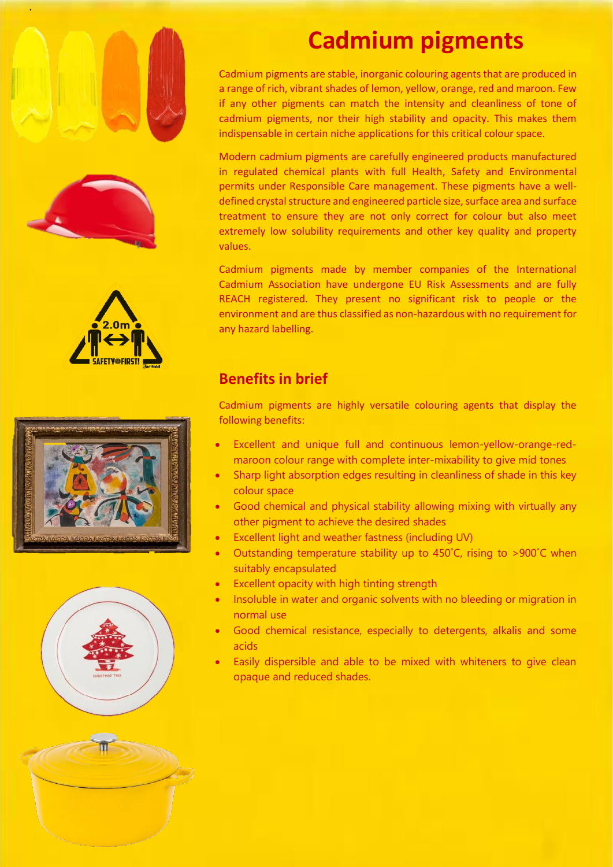









# **Cadmium pigments**

Cadmium pigments are stable, inorganic colouring agents that are produced in a range of rich, vibrant shades of lemon, yellow, orange, red and maroon. Few if any other pigments can match the intensity and cleanliness of tone of cadmium pigments, nor their high stability and opacity. This makes them indispensable in certain niche applications for this critical colour space.

Modern cadmium pigments are carefully engineered products manufactured in regulated chemical plants with full Health, Safety and Environmental permits under Responsible Care management. These pigments have a welldefined crystal structure and engineered particle size, surface area and surface treatment to ensure they are not only correct for colour but also meet extremely low solubility requirements and other key quality and property values.

Cadmium pigments made by member companies of the International Cadmium Association have undergone EU Risk Assessments and are fully REACH registered. They present no significant risk to people or the environment and are thus classified as non-hazardous with no requirement for any hazard labelling.

# **Benefits in brief**

Cadmium pigments are highly versatile colouring agents that display the following benefits:

- Excellent and unique full and continuous lemon-yellow-orange-redmaroon colour range with complete inter-mixability to give mid tones
- Sharp light absorption edges resulting in cleanliness of shade in this key colour space
- Good chemical and physical stability allowing mixing with virtually any other pigment to achieve the desired shades
- Excellent light and weather fastness (including UV)
- Outstanding temperature stability up to 450˚C, rising to >900˚C when suitably encapsulated
- Excellent opacity with high tinting strength
- Insoluble in water and organic solvents with no bleeding or migration in normal use
- Good chemical resistance, especially to detergents, alkalis and some acids
- Easily dispersible and able to be mixed with whiteners to give clean opaque and reduced shades.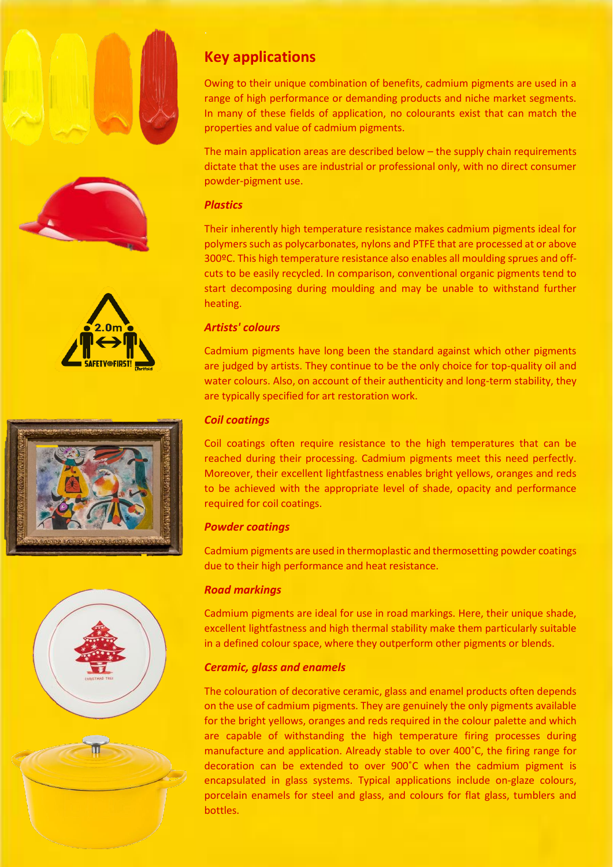







# **Key applications**

Owing to their unique combination of benefits, cadmium pigments are used in a range of high performance or demanding products and niche market segments. In many of these fields of application, no colourants exist that can match the properties and value of cadmium pigments.

The main application areas are described below – the supply chain requirements dictate that the uses are industrial or professional only, with no direct consumer powder-pigment use.

#### *Plastics*

Their inherently high temperature resistance makes cadmium pigments ideal for polymers such as polycarbonates, nylons and PTFE that are processed at or above 300ºC. This high temperature resistance also enables all moulding sprues and offcuts to be easily recycled. In comparison, conventional organic pigments tend to start decomposing during moulding and may be unable to withstand further heating.

#### *Artists' colours*

Cadmium pigments have long been the standard against which other pigments are judged by artists. They continue to be the only choice for top-quality oil and water colours. Also, on account of their authenticity and long-term stability, they are typically specified for art restoration work.

#### *Coil coatings*

Coil coatings often require resistance to the high temperatures that can be reached during their processing. Cadmium pigments meet this need perfectly. Moreover, their excellent lightfastness enables bright yellows, oranges and reds to be achieved with the appropriate level of shade, opacity and performance required for coil coatings.

#### *Powder coatings*

Cadmium pigments are used in thermoplastic and thermosetting powder coatings due to their high performance and heat resistance.

#### *Road markings*

Cadmium pigments are ideal for use in road markings. Here, their unique shade, excellent lightfastness and high thermal stability make them particularly suitable in a defined colour space, where they outperform other pigments or blends.

### *Ceramic, glass and enamels*

The colouration of decorative ceramic, glass and enamel products often depends on the use of cadmium pigments. They are genuinely the only pigments available for the bright yellows, oranges and reds required in the colour palette and which are capable of withstanding the high temperature firing processes during manufacture and application. Already stable to over 400˚C, the firing range for decoration can be extended to over 900˚C when the cadmium pigment is encapsulated in glass systems. Typical applications include on-glaze colours, porcelain enamels for steel and glass, and colours for flat glass, tumblers and bottles.